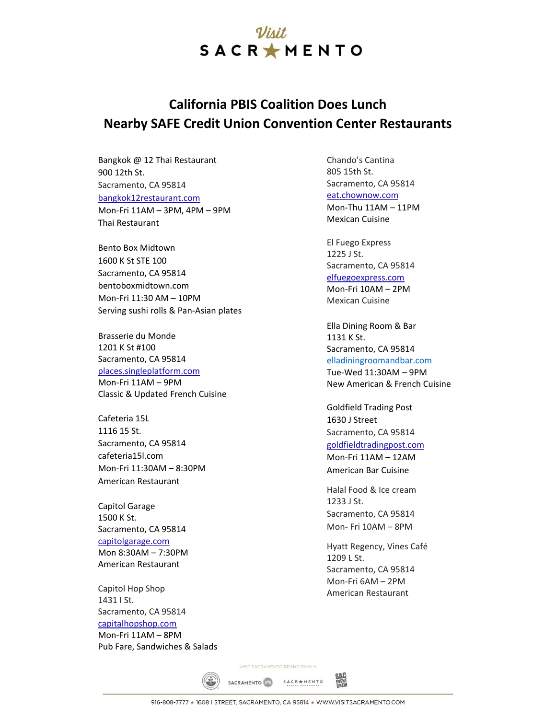## Vivit SACRAMENTO

## **California PBIS Coalition Does Lunch Nearby SAFE Credit Union Convention Center Restaurants**

Bangkok @ 12 Thai Restaurant 900 12th St. Sacramento, CA 95814 bangkok12restaurant.com Mon-Fri 11AM – 3PM, 4PM – 9PM Thai Restaurant

Bento Box Midtown 1600 K St STE 100 Sacramento, CA 95814 bentoboxmidtown.com Mon-Fri 11:30 AM – 10PM Serving sushi rolls & Pan-Asian plates

Brasserie du Monde 1201 K St #100 Sacramento, CA 95814 places.singleplatform.com Mon-Fri 11AM – 9PM Classic & Updated French Cuisine

Cafeteria 15L 1116 15 St. Sacramento, CA 95814 cafeteria15l.com Mon-Fri 11:30AM – 8:30PM American Restaurant

Capitol Garage 1500 K St. Sacramento, CA 95814 capitolgarage.com Mon 8:30AM – 7:30PM American Restaurant

Capitol Hop Shop 1431 I St. Sacramento, CA 95814 capitalhopshop.com Mon-Fri 11AM – 8PM Pub Fare, Sandwiches & Salads Chando's Cantina 805 15th St. Sacramento, CA 95814 eat.chownow.com Mon-Thu 11AM – 11PM Mexican Cuisine

El Fuego Express 1225 J St. Sacramento, CA 95814 elfuegoexpress.com Mon-Fri 10AM – 2PM Mexican Cuisine

Ella Dining Room & Bar 1131 K St. Sacramento, CA 95814 elladiningroomandbar.com Tue-Wed 11:30AM – 9PM New American & French Cuisine

Goldfield Trading Post 1630 J Street Sacramento, CA 95814 goldfieldtradingpost.com Mon-Fri 11AM – 12AM American Bar Cuisine

Halal Food & Ice cream 1233 J St. Sacramento, CA 95814 Mon- Fri 10AM – 8PM

Hyatt Regency, Vines Café 1209 L St. Sacramento, CA 95814 Mon-Fri 6AM – 2PM American Restaurant

VISIT SACRAMENTO BRAND FAMILY

SACRAMENTO 65 SACRAMENTO